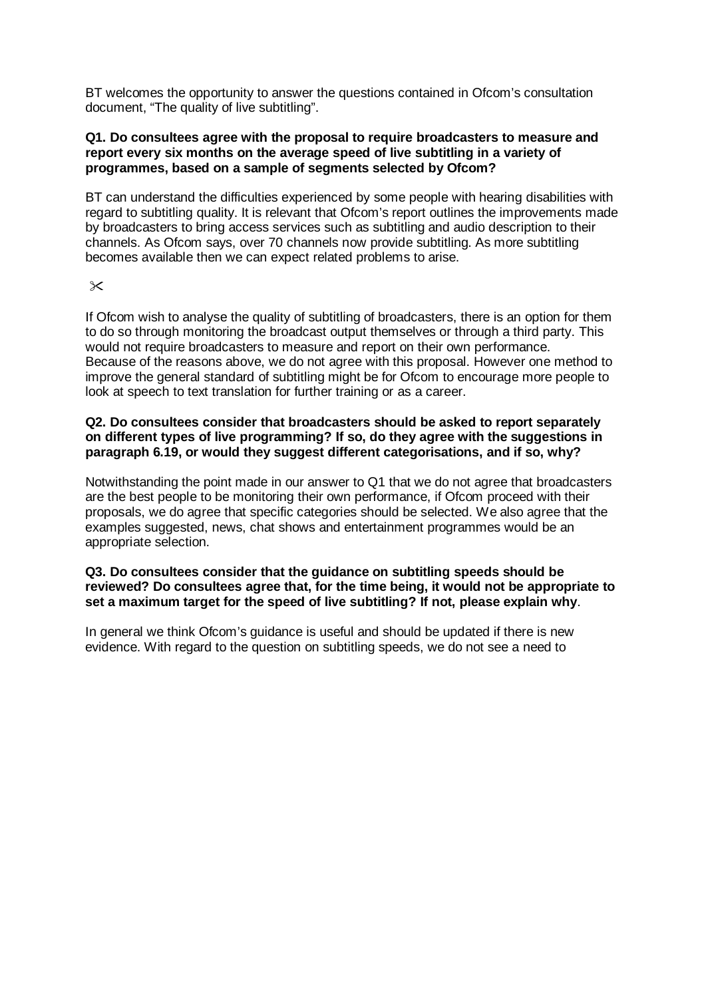BT welcomes the opportunity to answer the questions contained in Ofcom's consultation document, "The quality of live subtitling".

# **Q1. Do consultees agree with the proposal to require broadcasters to measure and report every six months on the average speed of live subtitling in a variety of programmes, based on a sample of segments selected by Ofcom?**

BT can understand the difficulties experienced by some people with hearing disabilities with regard to subtitling quality. It is relevant that Ofcom's report outlines the improvements made by broadcasters to bring access services such as subtitling and audio description to their channels. As Ofcom says, over 70 channels now provide subtitling. As more subtitling becomes available then we can expect related problems to arise.

 $\times$ 

If Ofcom wish to analyse the quality of subtitling of broadcasters, there is an option for them to do so through monitoring the broadcast output themselves or through a third party. This would not require broadcasters to measure and report on their own performance. Because of the reasons above, we do not agree with this proposal. However one method to improve the general standard of subtitling might be for Ofcom to encourage more people to look at speech to text translation for further training or as a career.

# **Q2. Do consultees consider that broadcasters should be asked to report separately on different types of live programming? If so, do they agree with the suggestions in paragraph 6.19, or would they suggest different categorisations, and if so, why?**

Notwithstanding the point made in our answer to Q1 that we do not agree that broadcasters are the best people to be monitoring their own performance, if Ofcom proceed with their proposals, we do agree that specific categories should be selected. We also agree that the examples suggested, news, chat shows and entertainment programmes would be an appropriate selection.

# **Q3. Do consultees consider that the guidance on subtitling speeds should be reviewed? Do consultees agree that, for the time being, it would not be appropriate to set a maximum target for the speed of live subtitling? If not, please explain why**.

In general we think Ofcom's guidance is useful and should be updated if there is new evidence. With regard to the question on subtitling speeds, we do not see a need to